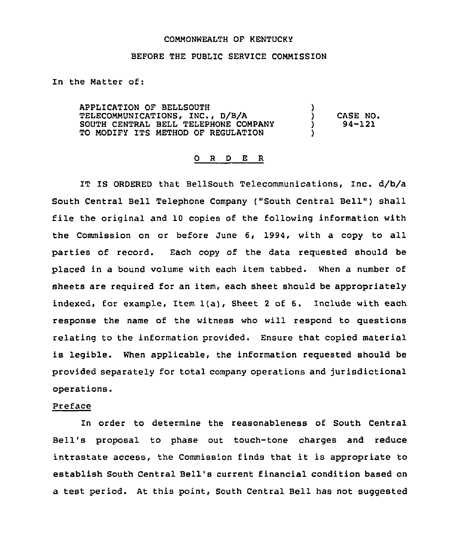#### COMMONWEALTH OF KENTUCKY

#### BEFORE THE PUBLIC SERVICE COMMISSION

In the Matter of:

APPLICATION OF BELLSOUTH TELECOMMUNICATIONS, INC., D/B/A SOUTH CENTRAL BELL TELEPHONE COMPANY TO MODIFY ITS METHOD OF REGULATION )<br>) ) CASE NO.<br>) 94-121 ) 94-121 )

#### 0 <sup>R</sup> <sup>D</sup> E R

IT IS ORDERED that BellSouth Telecommunications, Inc. d/b/a South Central Bell Telephone Company ("South Central Bell") shall file the original and 10 copies of the following information with the Commission on or before June 6, 1994, with a copy to all parties of record. Each copy of the data requested should be placed in a bound volume with each item tabbed. When a number of sheets are required for an item, each sheet should be appropriately indexed, for example, Item 1(a), Sheet <sup>2</sup> of 6. Include with each response the name of the witness who will respond to questions relating to the information provided. Ensure that copied material is legible. When applicable, the information requested should be provided separately for total company operations and jurisdictional operations.

#### Preface

In order to determine the reasonableness of South Central Bell's proposal to phase out touch-tone charges and reduce intrastate access, the Commission finds that it is appropriate to establish South Central Bell's current financial condition based on a test period. At this point, South Central Bell has not suggested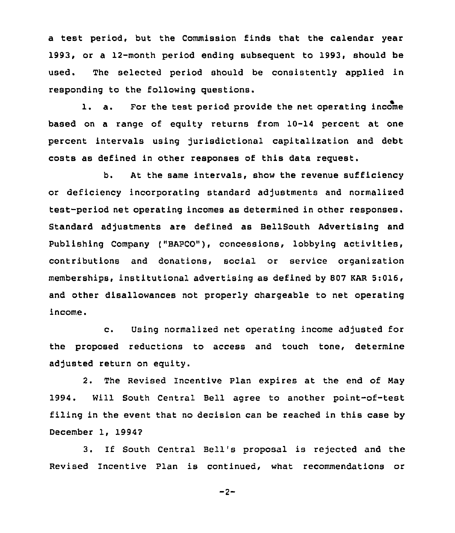a test period, but the Commission finds that the calendar year 1993, or a 12-month period ending subsequent to 1993, should be used. The selected period should be consistently applied in responding to the following questions.

l. a. For the test period provide the net operating income based on a range of equity returns from 10-14 percent at one percent intervals using jurisdictional capitalization and debt costs &8 defined in other responses of this data request.

b. At the same intervals, show the revenue sufficiency or deficiency incorporating standard adjustments and normalized test-period net operating incomes as determined in other responses. Standard adjustments are defined as BellSouth Advertising and Publishing Company ("BAPCO"), concessions, lobbying activities, contributions and donations, social or service organization memberships, institutional advertising as defined by 807 KAR 5:016, and other disallowances not properly chargeable to net operating income.

c. Using normalized net operating income adjusted for the proposed reductions to access and touch tone, determine adjusted return on equity.

2. The Revised Incentive Plan expires at the end of Nay 1994. Will South Central Bell agree to another point-of-test filing in the event that no decision can be reached in this case by December 1, 1994?

3. If South Central Bell's proposal is rejected and the Revised Incentive Plan is continued, what recommendations or

 $-2-$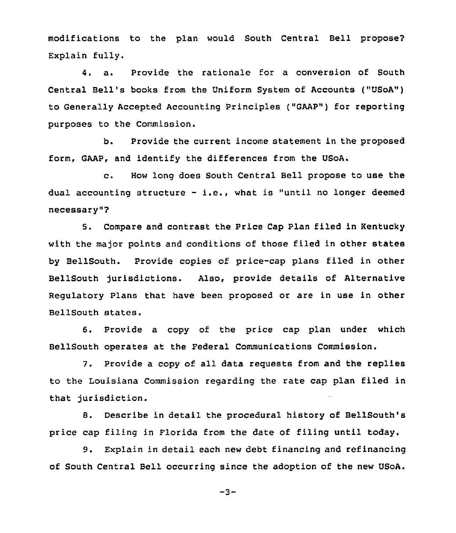modifications to the plan would South Central Bell propose? Explain fully.

4. a. Provide the rationale for a conversion of South Central Bell's books from the Uniform System of Accounts ("USoA") to Generally Accepted Accounting Principles ("GAAP") for reporting purposes to the Commission.

b. Provide the current income statement in the proposed form, GAAP, and identify the differences from the USoA.

c. How long does South Central Bell propose to use the dual accounting structure  $-$  i.e., what is "until no longer deemed necessary" ?

5. Compare and contrast the Price Cap Plan filed in Kentucky with the major points and conditions of those filed in other states by BellSouth. Provide copies of price-cap plans filed in other BellSouth jurisdictions. Also, provide details of Alternative Regulatory Plans that have been proposed or are in use in other BellSouth states.

6. Provide a copy of the price cap plan under which BellSouth operates at the Federal Communications Commission.

7. Provide a copy of all data requests from and the replies to the Louisiana Commission regarding the rate cap plan filed in that jurisdiction.

8. Describe in detail the procedural history of BellSouth's price cap filing in Florida from the date of filing until today.

9. Explain in detail each new debt financing and refinancing of South Central Bell occurring since the adoption of the new USoA.

 $-3-$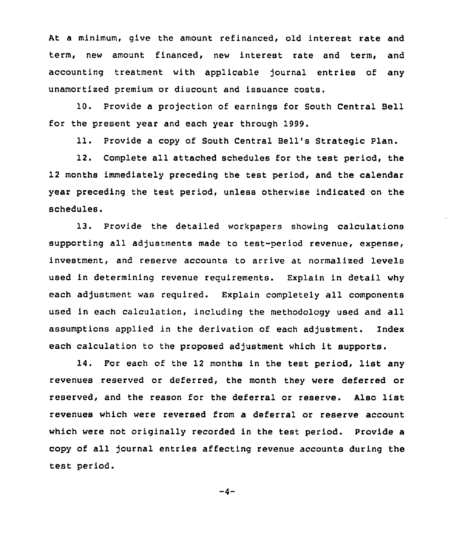At a minimum, give the amount refinanced, old interest rate and term, new amount financed, new interest rate and term, and accounting treatment with applicable journal entries of any unamortized premium or discount and issuance costs.

10. Provide a projection of earnings for South Central Bell for the present year and each year through 1999.

11. Provide a copy of South Central Bell's Strategic Plan.

12. Complete all attached schedules for the test period, the 12 months immediately preceding the test period, and the calendar year preceding the test period, unless otherwise indicated on the schedules.

13. Provide the detailed workpapers showing calculations supporting all adjustments made to test-period revenue, expense, investment, and reserve accounts to arrive at normalized levels used in determining revenue requirements. Explain in detail why each adjustment was required. Explain completely all components used in each calculation, including the methodology used and all assumptions applied in the derivation of each adjustment. Index each calculation to the proposed adjustment which it supports.

14. For each of the <sup>12</sup> months in the test period, list any revenues reserved or deferred, the month they were deferred or reserved, and the reason for the deferral or reserve. Also list revenues which were reversed from a deferral or reserve account which were not originally recorded in the test period. Provide a copy of all journal entries affecting revenue accounts during the test period.

 $-4-$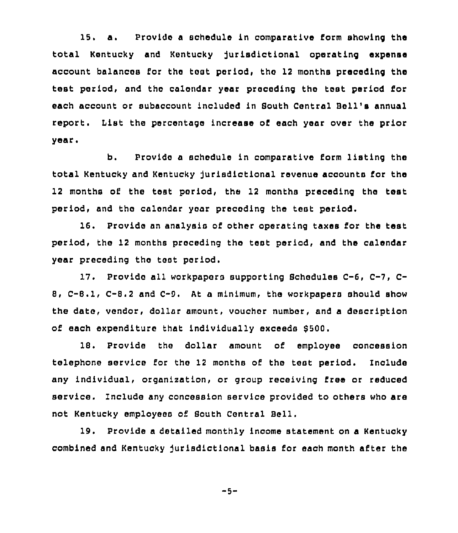15. a. Provide <sup>a</sup> schedule in comparative form showing the total Kentucky and Kentucky jurisdictional operating expense account balances for the test period, the 12 months preceding the test period, and the calendar year preceding the test period for each account or subaccount included in South Central Bell's annual report. List the percentage increase of each year over the prior year.

b. Provide a schedule in comparative form listing the total Kentucky and Kentucky Jurisdictional revenue accounts for the 12 months of the test period, the 12 months preceding the test period, and the calendar year preceding the test period.

16. Provide an analysis of other operating taxes for the test period, the 12 months preceding the test period, and the calendar year preceding the test period.

17. Provide all workpapers supporting Schedules C-6, C-7, C-B, C-B.1, C-8.2 and C-9, At a minimum, the workpapers should show the date, vendor, dollar amount, voucher number, and a description of each expenditure that individually exceeds \$500.

1S. Provide the 8ollar amount of employee concession telephone service for the 12 months of the test period. Include any individual, organisation, or group receiving free or reduced service. Include any concession service provided to others who are not Kentucky employees of Bouth Central Bell.

19, Provide a detailed monthly income statement on a Kentucky combined and Kentucky jurisdictional basis for each month after the

-5-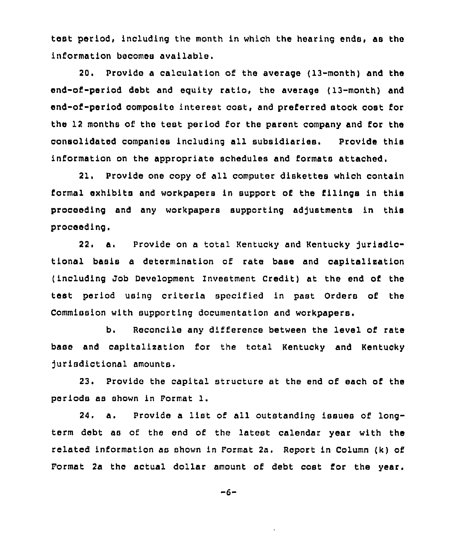test period, including the month in which the hearing ends, as the information becomes available.

20. Provide a calculation of the average ( 13-month) and the end-of-period debt and equity ratio, the average (13-month) and end-of-period composite interest cost, and preferred stock cost for the 12 months of the test period for the parent company and for the consolidated companies including all subsidiaries. Provide this information on the appropriate schedules and formats attached.

21. Provide one copy of all computer diskettes which contain formal exhibits and workpapers in support of the filings in this proceeding and any workpapers supporting adjustments in this proceeding. oding and any workpapers supporting adjustments in thit<br>eding.<br>22. a. Provide on a total Kentucky and Kentucky jurisdic<br>1 basis a determination of rate base and capitalization

tional basis a determination of rate base and capitalisation (including Job Development Investment Credit) at the end of the test period using criteria specified in past Orders of the Commission with supporting documentation and workpapers.

b. Reconcile any difference between the level of rate base and capitalization for the total Kentucky and Kentucky Jurisdictional amounts.

23. Provide the capital structure at the end of each of the periods as shown in Format 1.

24. a. Provide <sup>a</sup> list of all outstanding issues of longterm debt as of the end of the latest calendar year with the related information as shown in Format 2a. Report in Column (k) of Format 2a the actual dollar amount of debt cost for the year.

 $-6-$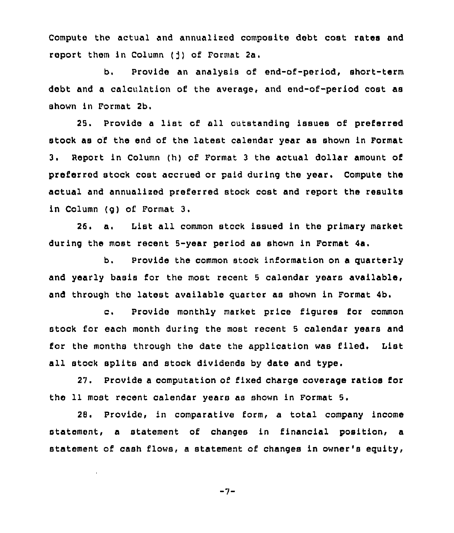Compute the actual and annualised composite debt cost rates and report them in Column  $(j)$  of Format 2a.

b. Provide an analysis of end-of-period, short-term debt and a calculation of the average, and end-of-period cost as shown in Format 2b.

25. Provide <sup>a</sup> list of all outstanding issues of preferred stock as of the end of the latest calendar year as shown in Format 3. Report in Column (h} of Format <sup>3</sup> the actual dollar amount of preferred stock cost accrued or paid during the year. Compute the actual and annualised preferred stock cost and report the results in Column (g) of Format 3.

26. a. List all common stock issued in the primary market during the most recent 5-year period as shown in Format 4a.

b. Provide the common stock information on a quarterly and yearly basis for the most recent <sup>5</sup> calendar years available, and through the latest available quarter as shown in Format 4b.

c. Provide monthly market price figures for common stock for each month during the most recent 5 calendar years and for the months through the date the application was filed, List all stock splits and stock dividends by date and type.

27. Provide a computation of fixed charge coverage ratios for the 11 most recent calendar years as shown in Format 5.

28. Provide, in comparative form, a total company income statement, a statement of changes in financial position, a statement of cash flows, a statement of changes in owner's equity,

$$
-7-
$$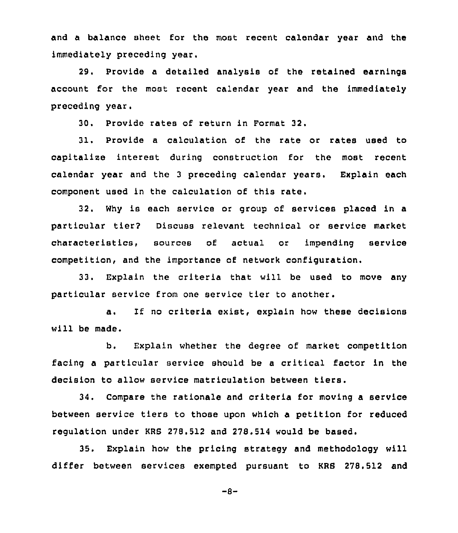and a balance sheet for the most recent calendar year and the immediately preceding year.

29. Provide a detailed analysis of the retained earnings account for the most recent calendar year and the immediately preceding year.

30. Provide rates of return in Format 32.

31. Provide a calculation of the rate or rates used to capitalize interest during construction for the most recent calendar year and the <sup>3</sup> preceding calendar years. Explain each component used in the calculation of this rate.

32. Why is each service or group of services placed in a particular tier? Discuss relevant technical or service market characteristics, sources of actual or impending service competition, and the importance of network configuration.

33. Explain the criteria that will be used to move any particular service from one service tier to another.

a. If no criteria exist, explain how these decisions will be made.

b. Explain whether the degree of market competition facing <sup>a</sup> particular service should be <sup>a</sup> critical factor in the decision to allow service matriculation between tiers.

34. Compare the rationale and criteria for moving a service between service tiers to those upon which a petition for reduced regulation under KRS 27B.512 and 27S.514 would be based.

35, Explain how the pricing strategy and methodology will differ between services exempted pursuant to KRS 278.512 and

 $-8-$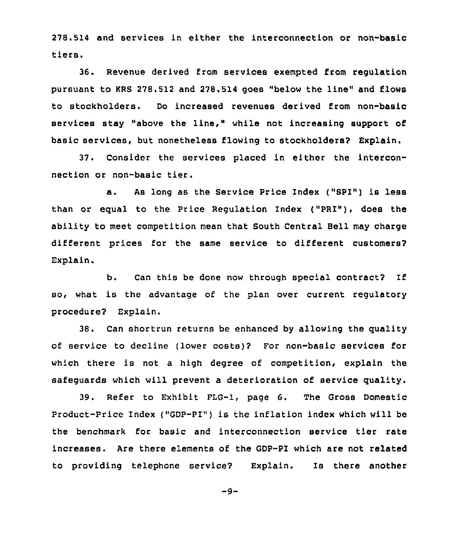278.514 and services in either the interconnection or non-basic tiers.

36. Revenue derived from services exempted from regulation pursuant to KRS 278.512 and 278.514 goes "below the line" and flows to stockholders. Do increased revenues derived from non-basic services stay "above the line," while not increasing support of basic services, but nonetheless flowing to stockholders? Explain.

37. Consider the services placed in either the interconnection or non-basic tier.

a. As long as the Service Price Index ("SPI") is less than or equal to the Price Regulation Index ("PRI"), does the ability to meet competition mean that South Central Bell may charge different prices for the same service to different customers? Explain.

b. Can this be done now through special contract? If so, what is the advantage of the plan over current regulatory procedure? Explain.

38. Can shortrun returns be enhanced by allowing the quality of service to decline (lower costs)? For non-basic services for which there is not a high degree of competition, explain the safequards which will prevent a deterioration of service quality.

39. Refer to Exhibit FLG-1, page 6. The Gross Domestic Product-Price Index ("GDP-PI") is the inflation index which will be the benchmark for basic and interconnection service tier rate increases. Are there elements of the GDP-PI which are not related to providing telephone service? Explain. Is there another

 $-9-$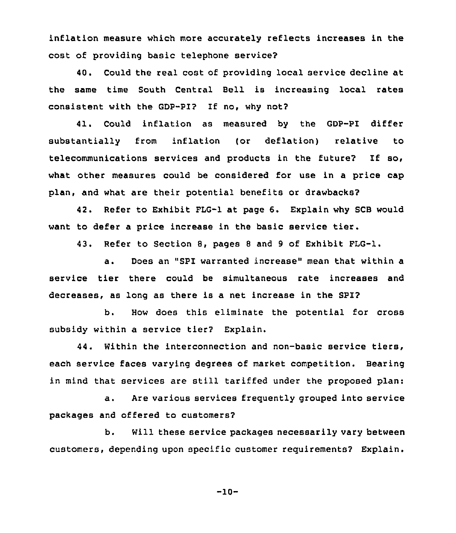inflation measure which more accurately reflects increases in the cost of providing basic telephone service?

40. Could the real cost of providing local service decline at the same time South Central Bell is increasing local rates consistent with the GDP-PI? If no, why not2

41. Could inflation as measured by the GDP-PI differ substantially from inflation (or deflation) relative to telecommunications services and products in the future2 If so, what other measures could be considered for use in a price cap plan, and what are their potential benefits or drawbacks?

42. Refer to Exhibit FLG-1 at page 6. Explain why SCB would want to defer <sup>a</sup> price increase in the basic service tier.

43. Refer to Section 8, pages <sup>8</sup> and <sup>9</sup> of Exhibit FLG-1.

a. Does an "SPI warranted increase" mean that within a service tier there could be simultaneous rate increases and decreases, as long as there is a net increase in the SPI?

b. How does this eliminate the potential for cross subsidy within a service tier? Explain.

44. Within the interconnection and non-basic service tiers, each service faces varying degrees of market competition. Bearing in mind that services are still tariffed under the proposed plan:

a. Are various services freguently grouped into service packages and offered to customers?

b. Will these service packages necessarily vary between customers, depending upon specific customer reguirements? Explain.

-10-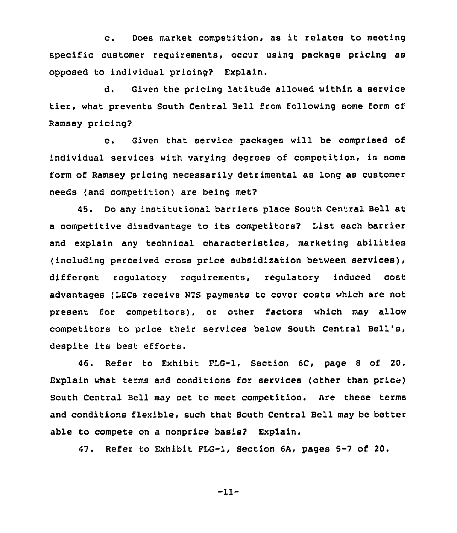c. Does market competition, as it relates to meeting specific customer reguirements, occur using package pricing as opposed to individual pricing? Explain.

d. Given the pricing latitude allowed within a service tier, what prevents South Central Bell from following some form of Ramsey pricing?

e. Given that service packages will be comprised of individual services with varying degrees of competition, is some form of Ramsey pricing necessarily detrimental as long as customer needs (and competition) are being met?

45. Do any institutional barriers place South Central Bell at <sup>a</sup> competitive disadvantage to its competitors? List each barrier and explain any technical characteristics, marketing abilities (including perceived cross price subsidization between services), different regulatory reguirements, regulatory induced cost advantages (LECs receive NTS payments to cover costs which are not present for competitors), or other factors which may allow competitors to price their services below South Central Bell's, despite its best efforts.

46. Refer to Exhibit FLG-1, Section 6C, page <sup>8</sup> of 20. Explain what terms and conditions for services (other than price) South Central Bell may set to meet competition. Are these terms and conditions flexible, such that South Central Bell may be better able to compete on a nonprice basis? Explain.

47. Refer to Exhibit PLG-1, Secticn 6A, pages 5-7 of 20.

-11-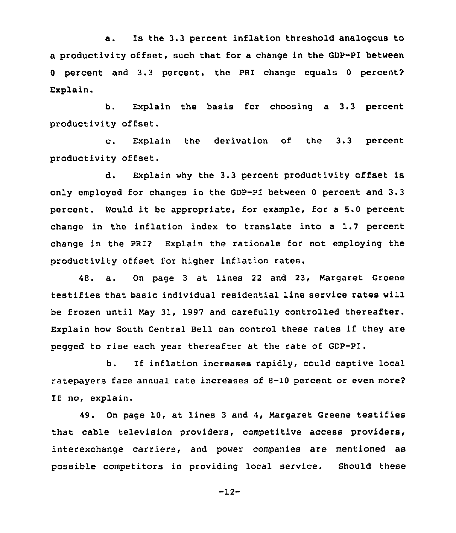a. Is the 3.3 percent inflation threshold analogous to a productivity offset, such that for a change in the GDP-PI between <sup>0</sup> percent and 3.3 percent. the PRI change equals <sup>0</sup> percent? Explain.

b. Explain the basis for choosing a 3.3 percent productivity offset.

c. Explain the derivation of the 3.3 percent productivity offset.

d. Explain why the 3.3 percent productivity offset is only employed for changes in the GDP-PI between <sup>0</sup> percent and 3.3 percent. Would it be appropriate, for example, for <sup>a</sup> 5.0 percent change in the inflation index to translate into a 1.7 percent change in the PRI? Explain the rationale for not employing the productivity offset for higher inflation rates.

48. a. On page <sup>3</sup> at lines <sup>22</sup> and 23, Margaret Greene testifies that basic individual residential line service rates will be frozen until May 31, 1997 and carefully controlled thereafter. Explain how South Central Bell can control these rates if they are pegged to rise each year thereafter at the rate of GDP-PI.

b. If inflation increases rapidly, could captive local ratepayers face annual rate increases of 8-10 percent or even more? If no, explain.

49. On page 10, at lines <sup>3</sup> and 4, Margaret Greene testifies that cable television providers, competitive access providers, interexchange carriers, and power companies are mentioned as possible competitors in providing local service. Should these

-12-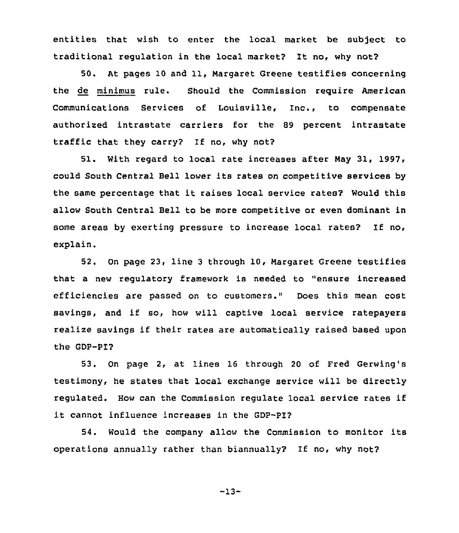entities that wish to enter the local market be subject to traditional regulation in the local market? It no, why not?

50. At pages 10 and 11, Margaret Greene testifies concerning the de minimus rule. Should the Commission require American Communications Services of Louisville, Inc., to compensate authorized intrastate carriers for the 89 percent intrastate traffic that they carry? If no, why not?

51. With regard to local rate increases after May 31, 1997, could South Central Bell lower its rates on competitive services by the same percentage that it raises local service rates? Would this allow South Central Bell to be more competitive or even dominant in some areas by exerting pressure to increase local rates? If no, explain.

52. On page 23, line <sup>3</sup> through 10, Margaret Greene testifies that a new regulatory framework is needed to "ensure increased efficiencies are passed on to customers." Does this mean cost savings, and if so, how will captive local service ratepayers realize savings if their rates are automatically raised based upon the GDP-PI?

53. On page 2, at lines 16 through 20 of Fred Gerwing's testimony, he states that local exchange service will be directly regulated. How can the Commission regulate local service rates if it cannot influence increases in the GDP-PI?

54. Would the company allow the Commission to monitor its operations annually rather than biannually? If no, why not?

-13-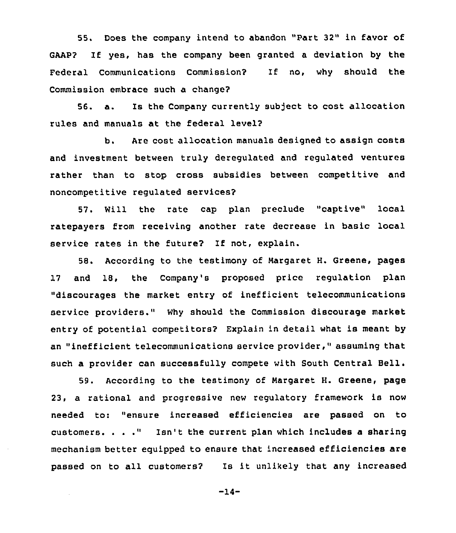55. Does the company intend to abandon "Part 32" in favor of GAAP? If yes, has the company been granted a deviation by the Federal Communications Commission? If no, why should the Commission embrace such a change?

56. a. Is the Company currently subject to coat allocation rules and manuals at the federal level?

b. Are cost allocation manuals designed to assign costs and investment between truly deregulated and regulated ventures rather than to stop cross subsidies between competitive and noncompetitive regulated services?

57. Will the rate cap plan preclude "captive" local ratepayers from receiving another rate decrease in basic local service rates in the future? If not, explain.

58. According to the testimony of Margaret H. Greene, pages 17 and 18, the Company's proposed price regulation plan "discourages the market entry of inefficient telecommunications service providers." Why should the Commission discourage market entry of potential competitors? Explain in detail what is meant by an "inefficient telecommunications service provider," assuming that such a provider can successfully compete with South Central Bell.

59. According to the testimony of Margaret H. Greene, page 23, a rational and progressive new regulatory framework is now needed to: "ensure increased efficiencies are passed on to customers. . . ." Isn't the current plan which includes <sup>a</sup> sharing mechanism better equipped to ensure that increased efficiencies are passed on to all customers? Is it unlikely that any increased

-14-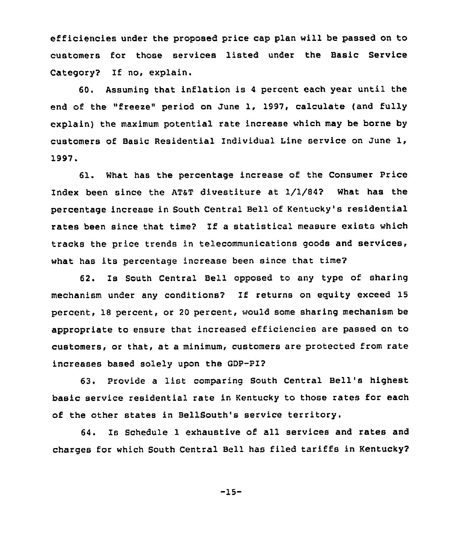efficiencies under the proposed price cap plan will be passed on to customers for those services listed under the Basic Service Category? If no, explain.

60. Assuming that inflation is <sup>4</sup> percent each year until the end of the "freeze" period on June 1, 1997, calculate (and fully explain) the maximum potential rate increase which may be borne by customers of Basic Residential Individual Line service on June 1, 1997.

61. What has the percentage increase of the Consumer Price Index been since the ATaT divestiture at 1/1/842 What has the percentage increase in South Central Bell of Kentucky's residential rates been since that time? If a statistical measure exists which tracks the price trends in telecommunications goods and services, what has its percentage increase been since that time?

62. Is South Central Bell opposed to any type of sharing mechanism under any conditions? If returns on equity exceed 15 percent, 18 percent, or 20 percent, would some sharing mechanism be appropriate to ensure that increased efficiencies are passed on to customers, or that, at a minimum, customers are protected from rate increases based solely upon the GDP-PI?

63. Provide <sup>a</sup> list comparing South Central Bell's highest basic service residential rate in Kentucky to those rates for each of the other states in BellSouth's service territory.

64. Is Schedule 1 exhaustive of all services and rates and charges for which South Central Bell has filed tariffs in Kentucky?

-15-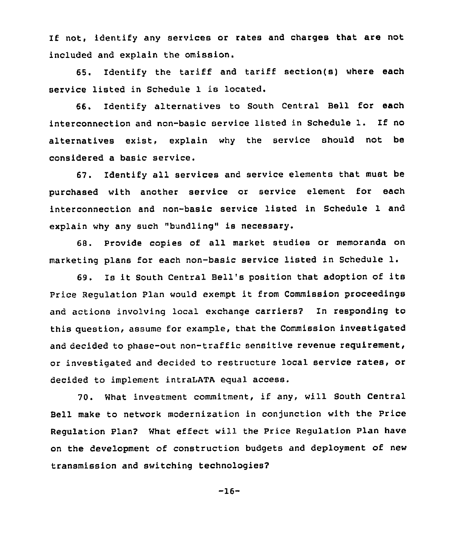If not, identify any services or rates and charges that are not included and explain the omission.

65. Identify the tariff and tariff section(s) where each service listed in Schedule 1 is located.

66. Identify alternatives to South Central Bell for each interconnection and non-basic service listed in Schedule 1. If no alternatives exist, explain why the service should not be considered a basic service.

67. Identify all services and service elements that must be purchased with another service or service element for each interconnection and non-basic service listed in Schedule 1 and explain why any such "bundling" is necessary.

68. Provide copies of all market studies or memoranda on marketing plans for each non-basic service listed in Schedule 1.

69. Is it South Central Bell's position that adoption of its Price Regulation Plan would exempt it from Commission proceedings and actions involving local exchange carriers2 In responding to this question, assume for example, that the Commission investigated and decided to phase-out non-traffic sensitive revenue requirement, or investigated and decided to restructure local service rates, or decided to implement intraLATA equal access.

70. What investment commitment, if any, will South Central Bell make to network modernization in conjunction with the Price Regulation Plan2 What effect will the Price Regulation Plan have on the development of construction budgets and deployment of new transmission and switching technologies?

$$
-16-
$$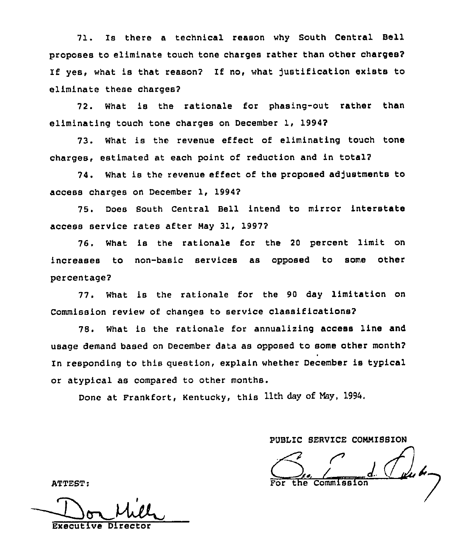71. Is there <sup>a</sup> technical reason why South Central Bell proposes to eliminate touch tone charges rather than other charges? If yes, what is that reason? If no, what justification exists to eliminate these charges?

72. What is the rationale for phasing-out rather than eliminating touch tone charges on December 1, 1994?

73. What is the revenue effect of eliminating touch tone charges, estimated at each point of reduction and in tota12

74. What is the revenue effect of the proposed adjustments to access charges on December 1, 1994?

75. Does South Central Bell intend to mirror interstate access service rates after May 31, 1997?

76. What is the rationale for the <sup>20</sup> percent limit on increases to non-basic services as opposed to some other percentaqe2

77. What is the rationale for the 90 day limitation on Commission review of changes to service classifications'2

78. What is the rationale for annualizing access line and usage demand based on December data as opposed to some other month2 In responding to this question, explain whether December is typical or atypical as compared to other months.

Done at Frankfort, Kentucky, this 11th day of May, 1994.

PUBLIC SEAVICE COMMISSION

Commission

ATTEST:

Executive Direct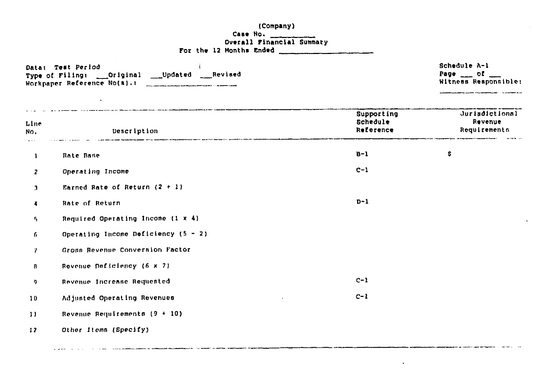### (Company)

 $\sim$ 

 $\mathbf{u}$ 

a a componente de construir de la construcción de la construcción de la construcción de la construcción de la

 $\mathbf{A}^{(1)}$  and  $\mathbf{A}^{(2)}$ 

### For the 12 Months Ended

|              | Data: Test Period<br>Type of Filing: ___ Original ____ Updated ____ Revised<br>Workpaper Reference No(a).:<br>$\cdot$ |                                     | Schedule A-1<br>Page $\qquad$ of<br>Witness Responsible: |  |
|--------------|-----------------------------------------------------------------------------------------------------------------------|-------------------------------------|----------------------------------------------------------|--|
| Line<br>No.  | Dencription                                                                                                           | Supporting<br>Schedule<br>Reference | <b>Jurisdictional</b><br>Revenue<br>Requirements         |  |
| Ĵ.           | Rate Base                                                                                                             | $B - I$                             | \$.                                                      |  |
| $\mathbf{z}$ | Operating Income                                                                                                      | $C-1$                               |                                                          |  |
| 3            | Earned Rate of Return $(2 + 1)$                                                                                       |                                     |                                                          |  |
| 4            | Rate of Return                                                                                                        | $D-1$                               |                                                          |  |
| 5.           | Required Operating Income (1 x 4)                                                                                     |                                     |                                                          |  |
| 6            | Operating Income Deficiency $(5 - 2)$                                                                                 |                                     |                                                          |  |
| 7.           | Gronn Revenue Conversion Factor                                                                                       |                                     |                                                          |  |
| Ø.           | Rovenue Deficiency (6 x 7)                                                                                            |                                     |                                                          |  |
| 9.           | Revenue Increase Requested                                                                                            | $C-1$                               |                                                          |  |
| 10           | Adjusted Operating Revenues                                                                                           | $C-1$                               |                                                          |  |
| $\mathbf{1}$ | Revenue Requirements (9 + 10)                                                                                         |                                     |                                                          |  |

 $12$ Other Items (Specify)

a para a construir a company de la companya de la companya de la companya de la companya de la companya de la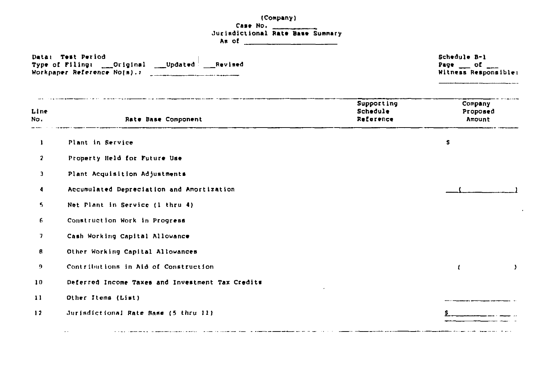|                      | (Company)<br>Case No.                                                                                                                                                                                                                                                                                                                                            |                                     |                                                              |
|----------------------|------------------------------------------------------------------------------------------------------------------------------------------------------------------------------------------------------------------------------------------------------------------------------------------------------------------------------------------------------------------|-------------------------------------|--------------------------------------------------------------|
|                      | <b>Jurisdictional Rate Base Summary</b><br>As of $\frac{1}{2}$ $\frac{1}{2}$ $\frac{1}{2}$ $\frac{1}{2}$ $\frac{1}{2}$ $\frac{1}{2}$ $\frac{1}{2}$ $\frac{1}{2}$ $\frac{1}{2}$ $\frac{1}{2}$ $\frac{1}{2}$ $\frac{1}{2}$ $\frac{1}{2}$ $\frac{1}{2}$ $\frac{1}{2}$ $\frac{1}{2}$ $\frac{1}{2}$ $\frac{1}{2}$ $\frac{1}{2}$ $\frac{1}{2}$ $\frac{1}{2}$ $\frac{1$ |                                     |                                                              |
|                      | Data: Test Period<br>Type of Filing: ___Original ____Updated ___Revised<br>Workpaper Reference No(m). 1                                                                                                                                                                                                                                                          |                                     | Schedule B-1<br>Page $\_\$ of $\_\_$<br>Witness Responsible: |
| Line<br>No.          | Rate Base Component                                                                                                                                                                                                                                                                                                                                              | Supporting<br>Schedule<br>Reference | Company<br>Proposed<br>Amount                                |
| $\mathbf{1}$         | Plant in Service                                                                                                                                                                                                                                                                                                                                                 |                                     | s                                                            |
| $\mathbf{r}$         | Property Held for Future Use                                                                                                                                                                                                                                                                                                                                     |                                     |                                                              |
| $\mathbf{J}$         | Plant Acquisition Adjustments                                                                                                                                                                                                                                                                                                                                    |                                     |                                                              |
| $\blacktriangleleft$ | Accumulated Depreciation and Amortization                                                                                                                                                                                                                                                                                                                        |                                     |                                                              |
| 5.                   | Net Plant in Service (1 thru 4)                                                                                                                                                                                                                                                                                                                                  |                                     |                                                              |
| 6                    | Construction Work in Progress                                                                                                                                                                                                                                                                                                                                    |                                     |                                                              |
| 7                    | Cash Working Capital Allowance                                                                                                                                                                                                                                                                                                                                   |                                     |                                                              |
| 8                    | Other Working Capital Allowances                                                                                                                                                                                                                                                                                                                                 |                                     |                                                              |
| 9                    | Contributions in Aid of Construction                                                                                                                                                                                                                                                                                                                             |                                     | -1<br>J.                                                     |
| $\bf{10}$            | Deferred Income Taxes and Investment Tax Credits                                                                                                                                                                                                                                                                                                                 |                                     |                                                              |
| $\bf{11}$            | Other Items (List)                                                                                                                                                                                                                                                                                                                                               |                                     |                                                              |
| 12                   | Jurisdictional Rate Base (5 thru 11)<br>and the company of the company of the company of the company of the company of the company of the company of the                                                                                                                                                                                                         |                                     |                                                              |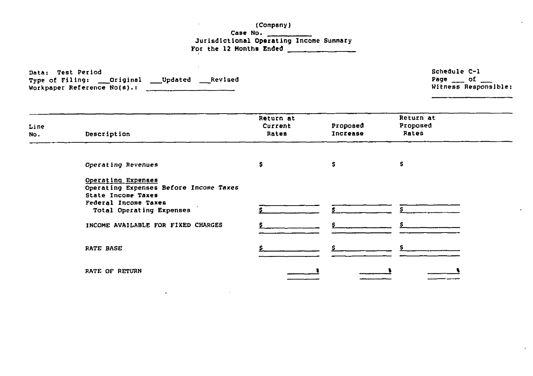(Company)

 $\sim$ 

 $\sim 10^{-1}$ 

Case No. Jurisdictional Operating Income Summar For the 12 Months Ended

| Data: Test Period           |          |         |         |
|-----------------------------|----------|---------|---------|
| Type of Filing:             | Original | Updated | Revised |
| Workpaper Reference No(s).: |          |         |         |

 $\sim$ 

| Schedule C-1 |                           |
|--------------|---------------------------|
|              | Page $\qquad$ of $\qquad$ |
|              | Witness Responsible:      |

 $\sim$ 

| Line<br>No. | Description                                                                        | Return at<br>Current<br>Rates | Proposed<br>Increase | Return at<br>Proposed<br>Rates |  |
|-------------|------------------------------------------------------------------------------------|-------------------------------|----------------------|--------------------------------|--|
|             | Operating Revenues                                                                 | s                             | s                    | s                              |  |
|             | Operating Expenses<br>Operating Expenses Before Income Taxes<br>State Income Taxes |                               |                      |                                |  |
|             | Federal Income Taxes<br>Total Operating Expenses                                   |                               |                      |                                |  |
|             | INCOME AVAILABLE FOR FIXED CHARGES                                                 |                               |                      |                                |  |
|             | RATE BASE                                                                          |                               |                      |                                |  |
|             | RATE OF RETURN                                                                     |                               |                      |                                |  |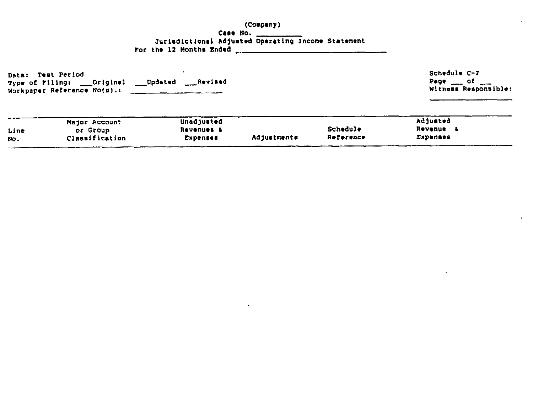### (Compang) Case No **Jurisdictional Adjusted Operating Income Statement** For the 12 Months Ended

Data: Test Period Type of Filing: \_\_\_Original \_\_\_Updated \_\_\_\_Revised Workpaper Reference No(s).i

 $\sim$ 

Schedule C-I Page <u>ment</u> of many Witness Responsible:

|      | Major Account  | Unadjusted |             |           | Adjusted        |
|------|----------------|------------|-------------|-----------|-----------------|
| Line | or Group       | Revenues & |             | Schedule  | Revenue         |
| No.  | Classification | Expenses   | Adjustments | Reference | <b>Expenses</b> |
|      |                |            |             |           |                 |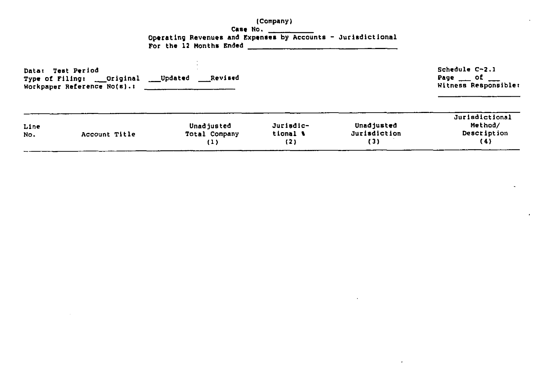### (Company) Case No. \_\_\_\_\_\_\_\_\_ Operating Revenues and Expenses by Accounts - Jurisdictional<br>For the 12 Months Ended

| <b>Data:</b><br>Type of Filing: | <b>Test Period</b><br>___Original<br>Workpaper Reference No(s).: | Revised<br>___Updated              |                              |                                   | Schedule C-2.1<br>Page $\qquad$ of<br>Witness Responsible: |
|---------------------------------|------------------------------------------------------------------|------------------------------------|------------------------------|-----------------------------------|------------------------------------------------------------|
| Line<br>No.                     | Account Title                                                    | Unadjusted<br>Total Company<br>(1) | Jurisdic-<br>tional 1<br>(2) | Unadjusted<br>Jurisdiction<br>(3) | Jurisdictional<br>Method/<br>Description<br>(4)            |

 $\alpha$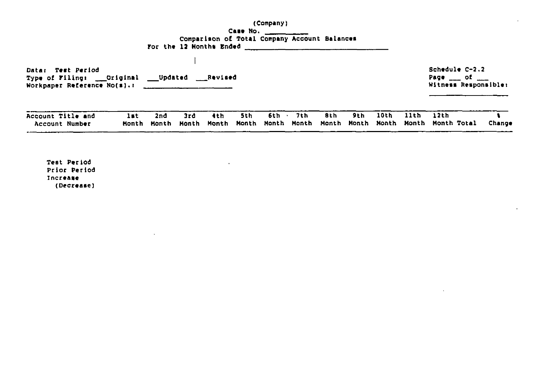(Companyi Case No. Comparison o5 Total Company Account Balances For the 12 Months Ended

Data: Test Period Type of Filing: \_\_Original \_\_Updated \_\_Revised Workpaper Reference No(s).:  $\frac{1}{\sqrt{1-\frac{1}{\sqrt{1-\frac{1}{\sqrt{1-\frac{1}{\sqrt{1-\frac{1}{\sqrt{1-\frac{1}{\sqrt{1-\frac{1}{\sqrt{1-\frac{1}{\sqrt{1-\frac{1}{\sqrt{1-\frac{1}{\sqrt{1-\frac{1}{\sqrt{1-\frac{1}{\sqrt{1-\frac{1}{\sqrt{1-\frac{1}{\sqrt{1-\frac{1}{\sqrt{1-\frac{1}{\sqrt{1-\frac{1}{\sqrt{1-\frac{1}{\sqrt{1-\frac{1}{\sqrt{1-\frac{1}{\sqrt{1-\frac{1}{\sqrt{1-\frac{$ Schedule C-2.2 Page <sub>\_\_\_</sub> of Wit<mark>ness Res</mark>ponsible

 $\Delta$ 

| Account Title and | 2nd | 3rd | th | 5th | 6th | フェト | 8th | 9th 10th 11th | 12th                                                                          |        |
|-------------------|-----|-----|----|-----|-----|-----|-----|---------------|-------------------------------------------------------------------------------|--------|
| Account Number    |     |     |    |     |     |     |     |               | Month Month Month Month Month Month Month Month Month Month Month Month Total | Change |

 $\sim$   $-$ 

**College** 

Teat Period Prior Period Increase (Decrease)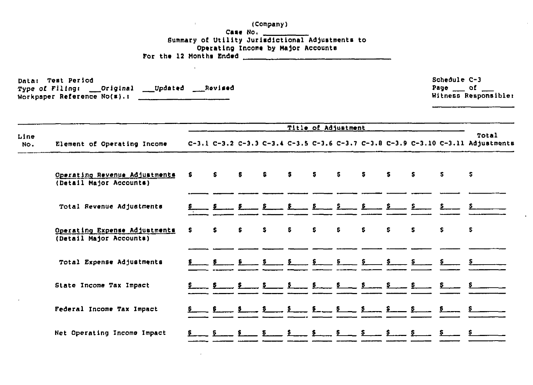(Company) Operating Income by Major Accounts For the 12 Months Ended  $\frac{1}{2}$ Schedule C-3 Data: Test Period Page of Type of Filing: Original Updated Revised Witness Responsible: Workpaper Reference No(s).: Title of Adjustment Total Line C-3.1 C-3.2 C-3.3 C-3.4 C-3.5 C-3.6 C-3.7 C-3.8 C-3.9 C-3.10 C-3.11 Adjustments Element of Operating Income No. Operating Revenue Adjustments  $\mathbf{S}$  $\mathbf{s}$  and  $\mathbf{s}$  $S_S$   $S_S$  $\mathbf{S}$ **S S** £. S. Б  $\mathbf{s}$ S. (Detail Major Accounts) Total Revenue Adjustments Operating Expense Adjustments s s. s  $\mathbf{s}$ S. s. S s ¢. S s s (Detail Major Accounts) Total Expense Adjustments State Income Tax Impact  $\frac{1}{\sqrt{2}}\frac{1}{\sqrt{2}}\frac{1}{\sqrt{2}}\frac{1}{\sqrt{2}}\frac{1}{\sqrt{2}}\frac{1}{\sqrt{2}}\frac{1}{\sqrt{2}}\frac{1}{\sqrt{2}}\frac{1}{\sqrt{2}}\frac{1}{\sqrt{2}}\frac{1}{\sqrt{2}}\frac{1}{\sqrt{2}}\frac{1}{\sqrt{2}}\frac{1}{\sqrt{2}}\frac{1}{\sqrt{2}}\frac{1}{\sqrt{2}}\frac{1}{\sqrt{2}}\frac{1}{\sqrt{2}}\frac{1}{\sqrt{2}}\frac{1}{\sqrt{2}}\frac{1}{\sqrt{2}}\frac{1}{\sqrt{2}}$ Federal Income Tax Impact Net Operating Income Impact  $\frac{5}{2}$   $\frac{5}{2}$   $\frac{5}{2}$   $\frac{5}{2}$   $\frac{5}{2}$   $\frac{5}{2}$   $\frac{5}{2}$   $\frac{5}{2}$   $\frac{5}{2}$   $\frac{5}{2}$   $\frac{5}{2}$   $\frac{5}{2}$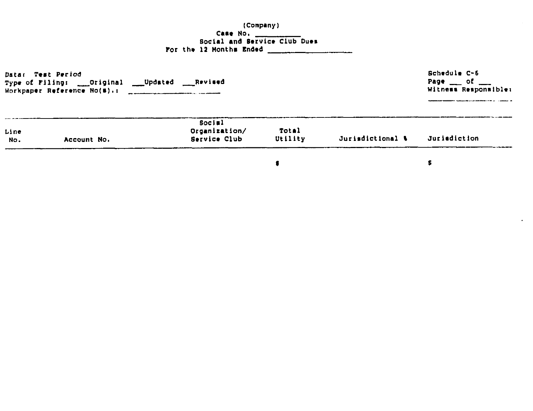# (Company) Case No.<br>
Social and Service Club Dues<br>
For the 12 Months Ended

| Type of Filing: | Data: Test Period<br>Original<br>$\sim$<br>Workpaper Reference No(#).: | Updated<br>Revised                             |                  |                  | Schedule C-6<br>Page $\qquad$ of<br>Witness Responsible: |
|-----------------|------------------------------------------------------------------------|------------------------------------------------|------------------|------------------|----------------------------------------------------------|
| Line<br>No.     | Account No.                                                            | <b>Social</b><br>Organization/<br>Service Club | Total<br>Utility | Jurisdictional & | Jurisdiction                                             |
|                 |                                                                        |                                                |                  |                  |                                                          |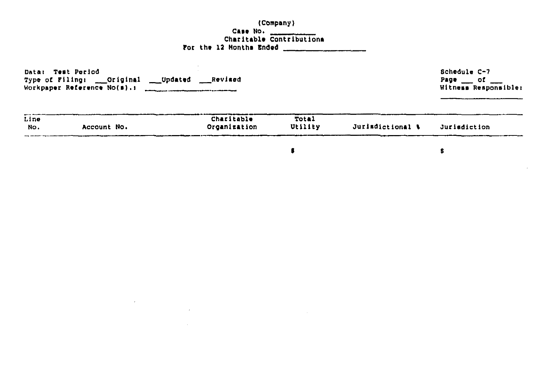### (Company) Case No. Charitable Contributions For the 12 Months Ended \_\_\_\_\_\_\_\_

| Data:       | Test Poriod<br>___ Updated<br>Type of Filing: ___Original<br>Workpaper Reference $No(s)$ .1 | ___Revised                 |                  |                  | Schedule C-7<br>Page $\_\_$ of<br>Witness Responsible: |
|-------------|---------------------------------------------------------------------------------------------|----------------------------|------------------|------------------|--------------------------------------------------------|
| Line<br>No. | Account No.                                                                                 | Charitable<br>Organization | Total<br>Utility | Jurisdictional \ | Jurisdiction                                           |
|             |                                                                                             |                            |                  |                  |                                                        |

 $\label{eq:2.1} \mathcal{L}(\mathcal{L}^{\text{max}}_{\mathcal{L}}(\mathcal{L}^{\text{max}}_{\mathcal{L}}),\mathcal{L}^{\text{max}}_{\mathcal{L}}(\mathcal{L}^{\text{max}}_{\mathcal{L}}))$ 

and the control of the control of

 $\label{eq:2.1} \frac{1}{2} \int_{\mathbb{R}^3} \frac{1}{\sqrt{2}} \, \frac{1}{\sqrt{2}} \, \frac{1}{\sqrt{2}} \, \frac{1}{\sqrt{2}} \, \frac{1}{\sqrt{2}} \, \frac{1}{\sqrt{2}} \, \frac{1}{\sqrt{2}} \, \frac{1}{\sqrt{2}} \, \frac{1}{\sqrt{2}} \, \frac{1}{\sqrt{2}} \, \frac{1}{\sqrt{2}} \, \frac{1}{\sqrt{2}} \, \frac{1}{\sqrt{2}} \, \frac{1}{\sqrt{2}} \, \frac{1}{\sqrt{2}} \, \frac{1}{\sqrt{2}} \,$ 

 $\pmb{\beta}$ 

 $\label{eq:2.1} \frac{1}{\sqrt{2}}\int_{\mathbb{R}^3}\frac{1}{\sqrt{2}}\left(\frac{1}{\sqrt{2}}\right)^2\frac{1}{\sqrt{2}}\left(\frac{1}{\sqrt{2}}\right)^2\frac{1}{\sqrt{2}}\left(\frac{1}{\sqrt{2}}\right)^2.$ 

 $\mathbf S$ 

 $\sim$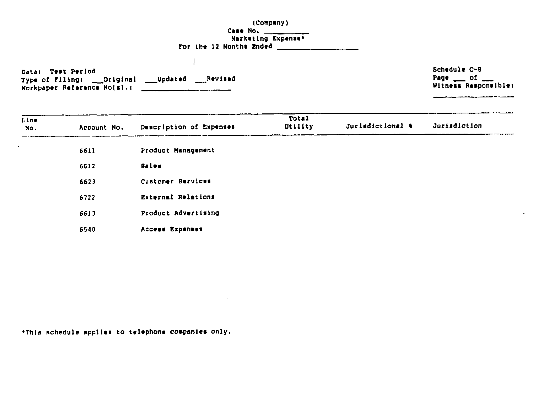(Company) Narketing Expense\* For the 12 Months Ended  $\frac{1}{2}$ 

Data: Test Period Type of Filing: \_\_Original \_\_\_Updated \_\_\_Revised Workpaper Reference No(s). :

 $\perp$ 

Schedule C-8 Page \_\_ of \_\_\_<br>Witness Responsible:

 $\mathbf{a}$  .

| Line<br>No. | Account No. | Description of Expenses   | Total<br>Utility | Jurisdictional & | Jurisdiction |
|-------------|-------------|---------------------------|------------------|------------------|--------------|
|             | 6611        | Product Management        |                  |                  |              |
|             | 6612        | Sales                     |                  |                  |              |
|             | 6623        | Customer Bervices         |                  |                  |              |
|             | 6722        | <b>External Relations</b> |                  |                  |              |
|             | 6613        | Product Advertising       |                  |                  |              |
|             | 6540        | Access Expenses           |                  |                  |              |

\*This schedule applies to telephone companies only.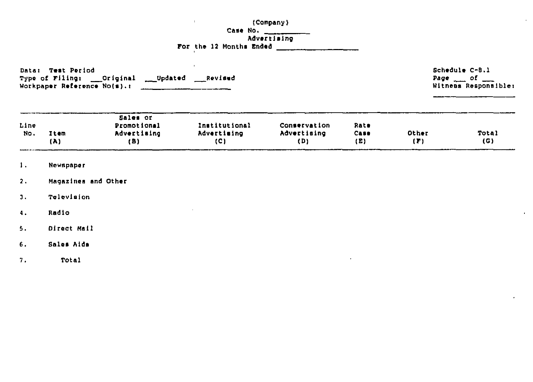(Company)

### Case No.<br>Advertising For the 12 Months Ended 1999 and 1999

 $\mathbf{u}$  .

 $\mathbf{r}$ 

Data: Test Period Type of Filing: \_\_\_Original \_\_\_Updated \_\_\_Revised 

Schedule C-B.1 Page  $\_\_$  of  $\_\_$ Witness Responsible:

 $\mathbf{r}$ 

|           |      | Sales or           |               |              |      |       |              |
|-----------|------|--------------------|---------------|--------------|------|-------|--------------|
| Line      |      | <b>Promotional</b> | Institutional | Conservation | Rate |       |              |
| <b>No</b> | Item | Advertising        | Advertising   | Advertising  | Case | Other | <b>Total</b> |
|           | (A)  | (B)                | (C)           | (D)          | (E)  | (r)   | (G)          |

- $1.$ Newspaper
- $2.$ Magazines and Other
- Television  $\mathbf{3}$ .
- $4.$ Radio
- Direct Mail  $5.$
- Sales Aids  $6.$
- Total  $7.$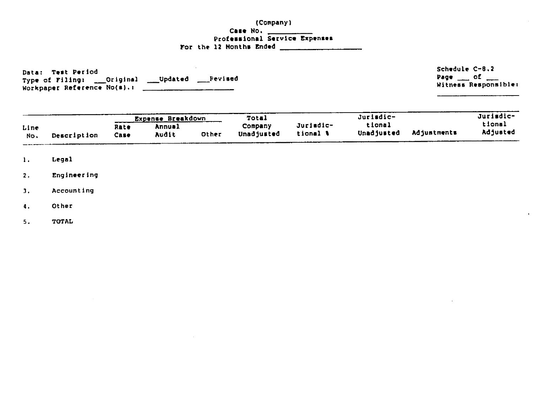### (Company) Case No. \_\_\_\_\_\_\_\_\_ Professional Service Expenses For the 12 Months Ended \_\_\_\_\_\_\_\_\_\_\_\_\_\_\_\_\_\_

Data: Test Period Type of Filing: \_\_\_Original \_\_\_\_Updated \_\_\_\_Pevised Workpaper Reference No(s).:

Schedule C-B.2 Page  $\qquad$  of  $\qquad$ Witness Responsible:

al and

|             |             |              | _Expense_B <u>reakdown</u> |       | Total                 |                       | Jurisdic-            |             | Jurisdic-          |
|-------------|-------------|--------------|----------------------------|-------|-----------------------|-----------------------|----------------------|-------------|--------------------|
| Line<br>No. | Description | Rate<br>Case | Annual<br>Audit            | Other | Company<br>Unadjusted | Juriedic-<br>tional ( | tional<br>Unadjusted | Adiustments | tional<br>Adjusted |

- Legal  $\mathbf{1}$ .
- Engineering  $\overline{z}$ .
- Accounting  $\overline{3}$ .
- $\ddot{\bullet}$ . Other
- TOTAL  $5.$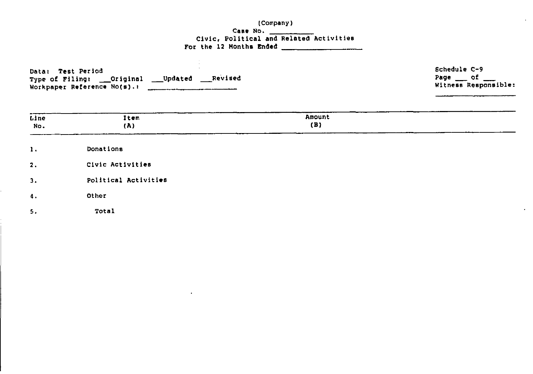(Company)

### 

| <b>Test Period</b><br>Data:<br>___ Updated<br>Type of Filing: __Original<br>Workpaper Reference No(s).: | Revised | Schedule C-9<br>Page $\_\circ$ of $\_\circ$<br>Witness Responsible: |
|---------------------------------------------------------------------------------------------------------|---------|---------------------------------------------------------------------|
|                                                                                                         |         |                                                                     |

| Line<br>No. | ____<br>Item<br>(A)  | Amount<br>(B) |
|-------------|----------------------|---------------|
| 1.          | Donations            |               |
| 2.          | Civic Activities     |               |
| 3.          | Political Activities |               |
| $\Lambda$ . | Other                |               |
| 5.          | Total                |               |

 $\bullet$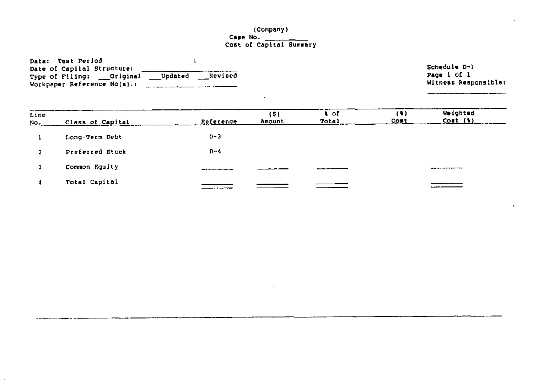### (Company Case No. Cost of Capital Summar

| Data: Test Period                                    |                      |
|------------------------------------------------------|----------------------|
| Date of Capital Structure:                           | Schedule D-1         |
| ___Updated<br>Revised<br>Type of Filing: ___Original | Page 1 of 1          |
| Workpaper Reference No(s).:                          | Witness Responsible: |

 $\sim$ 

| Line<br>No. | Class of Capital | Reference | (5)<br>Amount | ⊢o£<br>Total | (1)<br>Cost | Weighted<br>Cont(1) |
|-------------|------------------|-----------|---------------|--------------|-------------|---------------------|
|             | Long-Term Debt   | $D - 3$   |               |              |             |                     |
|             | Preferred Stock  | $D - 4$   |               |              |             |                     |
|             | Common Equity    |           |               |              |             |                     |
|             | Total Capital    |           |               |              |             |                     |

 $\ddot{\phantom{a}}$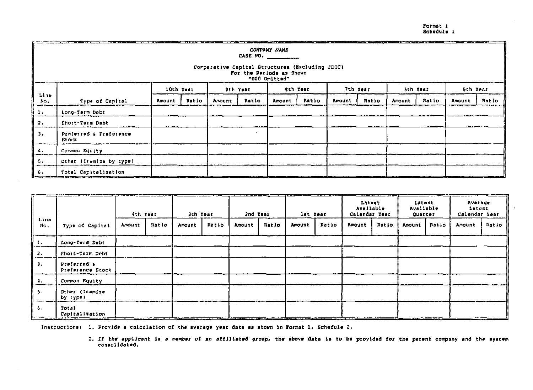Format 1 Schedule 1

|                  | COMPANY NAME<br>CASE NO. $\qquad \qquad$<br>Comparative Capital Structures (Excluding JDIC)<br>For the Periods as Shown<br>"000 Omitted" |           |       |        |          |               |          |        |          |        |          |        |          |
|------------------|------------------------------------------------------------------------------------------------------------------------------------------|-----------|-------|--------|----------|---------------|----------|--------|----------|--------|----------|--------|----------|
|                  |                                                                                                                                          | 10th Year |       |        | 9th Year |               | 8th Year |        | 7th Year |        | 6th Year |        | 5th Year |
| Line<br>No.      | Type of Capital                                                                                                                          | Amount    | Ratio | Amount | Ratio    | <b>Amount</b> | Ratio    | Amount | Ratio    | Amount | Ratio    | Amount | Ratio    |
| $\mathbf{1}$ .   | Long-Term Debt                                                                                                                           |           |       |        |          |               |          |        |          |        |          |        |          |
| $\overline{2}$ . | Short-Torm Debt                                                                                                                          |           |       |        |          |               |          |        |          |        |          |        |          |
| $\mathbf{J}$ .   | Preferred & Preference<br><b>Rt</b> ock                                                                                                  |           |       |        |          |               |          |        |          |        |          |        |          |
| I 4.             | Common Equity                                                                                                                            |           |       |        |          |               |          |        |          |        |          |        |          |
| 5.               | Other (Itemize by type)                                                                                                                  |           |       |        |          |               |          |        |          |        |          |        |          |
| 6.               | Total Capitalization                                                                                                                     |           |       |        |          |               |          |        |          |        |          |        |          |

|                       |                                 | let Year<br>Ath Year<br>3th Year<br>2nd Year |       | Latest<br>Available<br>Calendar Year |       | Average<br>Latest<br>Available<br>Latust<br>Calendar Year<br>Quarter |       |        |       |        |       |        |       |        |       |
|-----------------------|---------------------------------|----------------------------------------------|-------|--------------------------------------|-------|----------------------------------------------------------------------|-------|--------|-------|--------|-------|--------|-------|--------|-------|
| Line<br>$n_{\rm o}$ . | Type of Capital                 | <b>Amount</b>                                | Ratio | Amount                               | Ratio | <b>Amount</b>                                                        | Ratio | Amount | Ratio | Amount | Ratio | Anount | Ratio | Amount | Ratio |
| -17                   | Long-Term Debt                  |                                              |       |                                      |       |                                                                      |       |        |       |        |       |        |       |        |       |
| $\overline{z}$ .      | Short-Term Debt                 |                                              |       |                                      |       |                                                                      |       |        |       |        |       |        |       |        |       |
| 3.                    | Preferred &<br>Preference Stock |                                              |       |                                      |       |                                                                      |       |        |       |        |       |        |       |        |       |
| -4.                   | Common Equity                   |                                              |       |                                      |       |                                                                      |       |        |       |        |       |        |       |        |       |
| 5.                    | Other (Itemize<br>by type)      |                                              |       |                                      |       |                                                                      |       |        |       |        |       |        |       |        |       |
| ъ.                    | Total<br>Capitalization         |                                              |       |                                      |       |                                                                      |       |        |       |        |       |        |       |        |       |

Instructions: 1. Provide a calculation of the average year data as shown in Format 1, Schedule 2.

2. If the applicant is a member of an affiliated group, the above data is to be provided for the parent company and the system consolidated.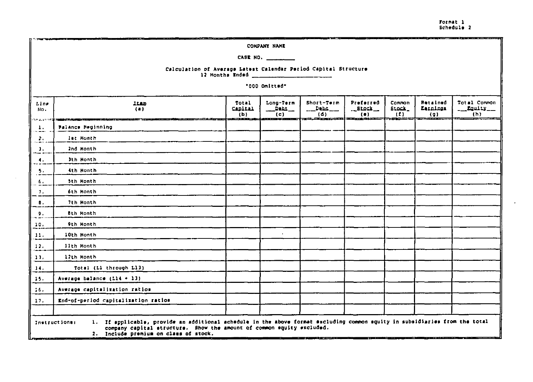Format<sub>1</sub> Schedule 2

------.<br>Andre de la component de la componentat de la componentat de la componentat de la componentat de la component COMPANY NAME CASE NO.  $\qquad \qquad \qquad$ Calculation of Average Latest Calendar Period Capital Structure 12 Months Ended "000 Omitted" Total Long-Term Short-Term Preferred Common **Retained** Total Common  $L$  in  $\sigma$ **Itam Stock\_**  $-$  Equity  $\frac{1}{2}$   $\frac{1}{2}$   $\frac{1}{2}$  $\_$ stock $\_$ **Earnings**  $(n)$ **CADITAL**  $\overline{\phantom{a}}$  . Dabt Ho.  $(b)$ ້(c) - $(d)$  $\frac{1}{\sqrt{2}}$  $(5)$  $(9)$  $(h)$ ----<del>-------</del>-—— . . . . . . . . <del>.</del> se alasmed 2010/01/27 12:00:00 02:00:00 and the communication of the **Balance Beginning**  $\mathbf{1}$ . - 11 let Honth  $\mathbf{2}$ 2nd Month  $\mathbf{J}$ . Jth Month  $\mathbf{4.}$ 4th Honth  $5.1$  $\alpha$  . 5th Month  $T_{\rm eff}$ 6th Month  $B.$ 7th Honth **Bih Honth**  $9.$ 9th Honth 10. 10th Month  $11.$ 11th Month  $12.$ 12th Month  $11.$  $14.$ Total (Ll through L13)  $15.$ Average balance  $(L14 + 13)$  $16.$ Average capitalization ratios End-of-period capitalization ratios 17. 1. If applicable, provide an additional achedule in the above format excluding common equity in subsidiaries from the total Instructionar company capital structure. Show the amount of common equity excluded. 2. Include premium on class of stock.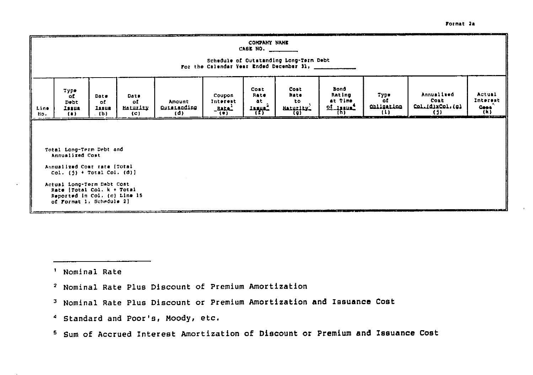|             | COMPANY NAME<br>CABE NO. ______<br>Schedule of Outstanding Long-Term Debt<br>For the Calendar Year Ended December 11, ___________                                                                                                                                                                                                                                                                                                                                                                |  |  |  |  |  |  |  |  |  |  |  |  |
|-------------|--------------------------------------------------------------------------------------------------------------------------------------------------------------------------------------------------------------------------------------------------------------------------------------------------------------------------------------------------------------------------------------------------------------------------------------------------------------------------------------------------|--|--|--|--|--|--|--|--|--|--|--|--|
| Line<br>No. | Bond<br>Cost<br>Cost<br><b>Type</b><br>Annualised<br>Actual<br>Rating<br>Type<br><b>Rate</b><br>Rate<br>Coupon<br>Date<br>Date<br>٥£<br>Interest<br>Cost<br>at Time<br>-of<br>a t<br><b>to</b><br>Interest<br>of<br>Amount<br><b>Debt</b><br>оf<br><b>Obligation</b><br>CorrigixCorrier<br>$\frac{ot - t}{16}$<br>$rac{1}{(k)}$<br>Quistanding<br>Maturity<br>Haturity<br>$-$ Rate $-$<br><b>Jasua</b><br>Issue<br><b>Lange</b><br>$\{1\}$<br>ŧΠ<br>(d)<br>(b)<br>$($ a $)$<br>$\left( c\right)$ |  |  |  |  |  |  |  |  |  |  |  |  |
|             | كالأخلافة<br><b><i><u>Particular Contents and Contents and Contents and Contents and Contents and Contents and Contents and Contents and Contents and Contents and Contents and Contents and Contents and Contents and Contents and Contents and </u></i></b><br>Total Long-Term Debt and<br>Annualized Cost                                                                                                                                                                                     |  |  |  |  |  |  |  |  |  |  |  |  |
|             | Annualized Comt rate (Total<br>$Col. (i) + Total Col. (d)$<br>Actual Long-Term Dabt Cost<br>Rate [Total Col. k + Total<br>Reported in Col. (c) Line 15<br>of Format 1. Schedule 2)                                                                                                                                                                                                                                                                                                               |  |  |  |  |  |  |  |  |  |  |  |  |

Format 2a

<sup>1</sup> Nominal Rate

- <sup>2</sup> Nominal Rate Plus Discount of Premium Amortization
- <sup>3</sup> Nominal Rate Plus Discount or Premium Amortization and Issuance Cost
- <sup>4</sup> Standard and Poor's, Moody, etc.
- <sup>5</sup> Sum of Accrued Interest Amortization of Discount or Premium and Issuance Cost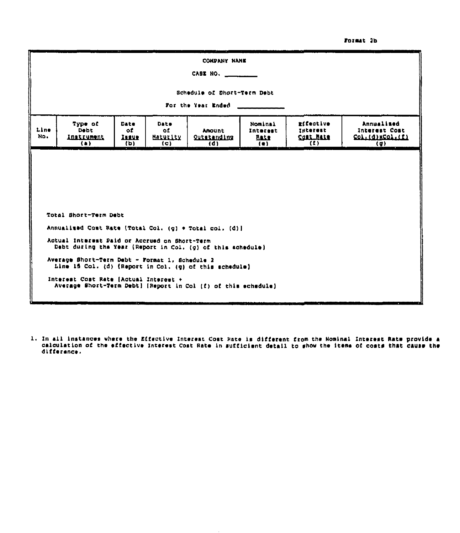#### Format 2b

|             |                                                                                                             |                             |                                        | CONPANY NAME                        |                                         |                                                   |                                                                      |  |  |  |  |  |
|-------------|-------------------------------------------------------------------------------------------------------------|-----------------------------|----------------------------------------|-------------------------------------|-----------------------------------------|---------------------------------------------------|----------------------------------------------------------------------|--|--|--|--|--|
|             | CASE NO. _______                                                                                            |                             |                                        |                                     |                                         |                                                   |                                                                      |  |  |  |  |  |
|             | Schedule of Short-Term Debt                                                                                 |                             |                                        |                                     |                                         |                                                   |                                                                      |  |  |  |  |  |
|             | For the Year Ended                                                                                          |                             |                                        |                                     |                                         |                                                   |                                                                      |  |  |  |  |  |
| Line<br>No. | Type of<br><b>Dobt</b><br><b>Instrument</b><br>(a)                                                          | Date<br>of.<br>Irane<br>(b) | <b>Date</b><br>۵£<br>Maturity<br>${c}$ | <b>Amount</b><br>Qutstanding<br>(d) | Nominal<br>Interest<br><b>RALE</b><br>( | rifective<br>Interest<br><b>Contribute</b><br>(1) | Annualized<br>Interest Cost<br>Col.(d) xCol.(f)<br>$\left( q\right)$ |  |  |  |  |  |
|             |                                                                                                             |                             |                                        |                                     |                                         |                                                   |                                                                      |  |  |  |  |  |
|             |                                                                                                             |                             |                                        |                                     |                                         |                                                   |                                                                      |  |  |  |  |  |
|             |                                                                                                             |                             |                                        |                                     |                                         |                                                   |                                                                      |  |  |  |  |  |
|             |                                                                                                             |                             |                                        |                                     |                                         |                                                   |                                                                      |  |  |  |  |  |
|             | Total Short-Term Debt                                                                                       |                             |                                        |                                     |                                         |                                                   |                                                                      |  |  |  |  |  |
|             | Annualized Cost Rate (Total Col. (g) + Total col. (d)]                                                      |                             |                                        |                                     |                                         |                                                   |                                                                      |  |  |  |  |  |
|             | Actual Interest Paid or Accrued on Short-Term<br>Debt during the Year (Report in Col. (g) of this schedule) |                             |                                        |                                     |                                         |                                                   |                                                                      |  |  |  |  |  |
|             | Average Short-Term Debt - Format 1, Schedule 2<br>Line 15 Col. (d) (Report in Col. (g) of this schedule)    |                             |                                        |                                     |                                         |                                                   |                                                                      |  |  |  |  |  |
|             | Interest Cost Rate [Actual Interest +<br>Average Short-Term Debt) [Report in Col (f) of this echedule]      |                             |                                        |                                     |                                         |                                                   |                                                                      |  |  |  |  |  |

1. In all instances where the Effective Interest Cost Rate is different from the Nominal Interest Rate provide a<br>calculation of the effective Interest Cost Rate in sufficient detail to ghow the items of costs that cause th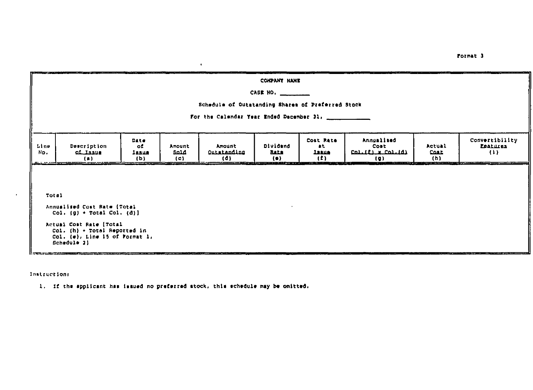|                             | a contra come a la come a concentración de la contrada por establecer a un segundo de la contrada de          |                            |                                      |                                                   | COKPANY HAME                 |                                                                             |                                                              | ---                   | the property and the contract of the property of the contract of the |
|-----------------------------|---------------------------------------------------------------------------------------------------------------|----------------------------|--------------------------------------|---------------------------------------------------|------------------------------|-----------------------------------------------------------------------------|--------------------------------------------------------------|-----------------------|----------------------------------------------------------------------|
|                             |                                                                                                               |                            |                                      |                                                   | CASE NO. $\qquad$            |                                                                             |                                                              |                       |                                                                      |
|                             |                                                                                                               |                            |                                      | Schedule of Outstanding Shares of Preferred Stock |                              |                                                                             |                                                              |                       |                                                                      |
|                             |                                                                                                               |                            |                                      | For the Calendar Year Ended December 31.          |                              |                                                                             |                                                              |                       |                                                                      |
| Line<br>No.<br>an a several | Description<br>of Jasue<br>(a)                                                                                | Date<br>оf<br>lasue<br>(D) | Amount<br>said<br>$\left( c \right)$ | Amount<br>Quistanding<br>(d)                      | Dividend<br><b>BALB</b><br>( | Cost Rate<br>at.<br><u>121110</u><br>(1)<br>121023-0020<br><b>RESIDENTS</b> | Annualized<br>Cost<br>$C_0$ ) $C_1$ $C_2$ $C_3$ $C_4$<br>(0) | Actual<br>Cost<br>(h) | Convertibility<br>Enatures<br>(1)                                    |
|                             |                                                                                                               |                            |                                      |                                                   |                              |                                                                             |                                                              |                       |                                                                      |
|                             |                                                                                                               |                            |                                      |                                                   |                              |                                                                             |                                                              |                       |                                                                      |
| Total                       |                                                                                                               |                            |                                      |                                                   |                              |                                                                             |                                                              |                       |                                                                      |
|                             | Annualized Cost Rate (Total<br>Col. (g) $\rightarrow$ Total Col. (d)]                                         |                            |                                      |                                                   |                              |                                                                             |                                                              |                       |                                                                      |
|                             | Actual Cost Rate [Total<br>$Col.$ (h) + Total Reported in<br>Col. $(e)$ , Line 15 of Format 1,<br>Schedule 2) |                            |                                      |                                                   |                              |                                                                             |                                                              |                       |                                                                      |

Instructions

1. If the applicant has issued no preferred stock, this echedule may be omitted.

<u>|| 1911.72.2. ILLUMENT STATES IN THE CONTRACT OF THE CONTRACT OF THE CONTRACT OF THE CONTRACT OF THE CONTRACT OF THE CONTRACT OF THE CONTRACT OF THE CONTRACT OF THE CONTRACT OF THE CONTRACT OF THE CONTRACT OF THE CONTRACT</u>

Format 3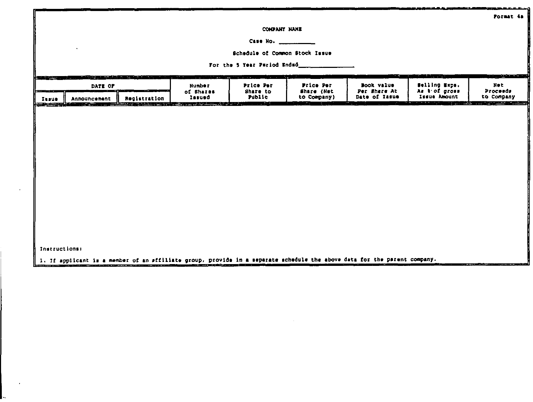|                    |                                                                                                                                                                                                                                |                       |                      |                                           |                           |                                                                                                                          |                               | Format 4a              |
|--------------------|--------------------------------------------------------------------------------------------------------------------------------------------------------------------------------------------------------------------------------|-----------------------|----------------------|-------------------------------------------|---------------------------|--------------------------------------------------------------------------------------------------------------------------|-------------------------------|------------------------|
|                    |                                                                                                                                                                                                                                |                       |                      | COMPANY NAME                              |                           |                                                                                                                          |                               |                        |
|                    |                                                                                                                                                                                                                                |                       |                      | Case No. _                                |                           |                                                                                                                          |                               |                        |
|                    |                                                                                                                                                                                                                                |                       |                      | Schedule of Common Stock Issue            |                           |                                                                                                                          |                               |                        |
|                    |                                                                                                                                                                                                                                |                       |                      | For the 5 Year Pariod Ended__             |                           |                                                                                                                          |                               |                        |
|                    | DATE OF                                                                                                                                                                                                                        |                       | <b>Number</b>        | <b>SERVICE COMMUNICATION</b><br>Price Per | Price Per                 | Book value                                                                                                               | ويند المنكلة<br>Selling Exps. | سمائه ف<br>Net         |
| والمستناد<br>Iusue | Announcement                                                                                                                                                                                                                   | Registration          | of Shares<br>Issued  | Share to<br>Public                        | Share (Net<br>to Company) | Per Share At<br>Date of Iasue                                                                                            | As bof gross<br>Issue Amount  | Proceeds<br>to Company |
|                    | and the second control of the second second second second second second second second second second second second second second second second second second second second second second second second second second second sec | <u>e grupo espera</u> | ستان المتحدث بالوجور | .                                         |                           |                                                                                                                          |                               | فيجسدون والأناة        |
|                    |                                                                                                                                                                                                                                |                       |                      |                                           |                           |                                                                                                                          |                               |                        |
|                    |                                                                                                                                                                                                                                |                       |                      |                                           |                           |                                                                                                                          |                               |                        |
|                    |                                                                                                                                                                                                                                |                       |                      |                                           |                           |                                                                                                                          |                               |                        |
|                    |                                                                                                                                                                                                                                |                       |                      |                                           |                           |                                                                                                                          |                               |                        |
|                    |                                                                                                                                                                                                                                |                       |                      |                                           |                           |                                                                                                                          |                               |                        |
|                    |                                                                                                                                                                                                                                |                       |                      |                                           |                           |                                                                                                                          |                               |                        |
|                    |                                                                                                                                                                                                                                |                       |                      |                                           |                           |                                                                                                                          |                               |                        |
|                    |                                                                                                                                                                                                                                |                       |                      |                                           |                           |                                                                                                                          |                               |                        |
|                    |                                                                                                                                                                                                                                |                       |                      |                                           |                           |                                                                                                                          |                               |                        |
|                    |                                                                                                                                                                                                                                |                       |                      |                                           |                           |                                                                                                                          |                               |                        |
|                    |                                                                                                                                                                                                                                |                       |                      |                                           |                           |                                                                                                                          |                               |                        |
|                    |                                                                                                                                                                                                                                |                       |                      |                                           |                           |                                                                                                                          |                               |                        |
| Instructions:      |                                                                                                                                                                                                                                |                       |                      |                                           |                           |                                                                                                                          |                               |                        |
|                    |                                                                                                                                                                                                                                |                       |                      |                                           |                           | 1. If applicant is a member of an sfflliate group, provide in a separate achedule the above data for the parent company. |                               |                        |

 $\sim$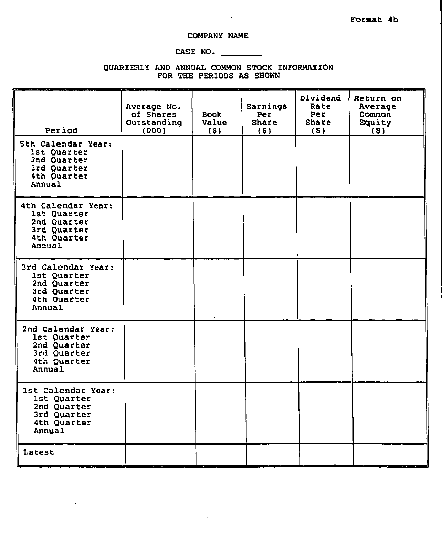### COMPANY NAME

 $\ddot{\phantom{a}}$ 

### CASE NO.

QUARTERLY AND ANNUAL COMMON STOCK INFORMATION FOR THE PERIODS AS SHOWN

| Period                                                                                   | Average No.<br>of Shares<br>Outstanding<br>(000) | <b>Book</b><br>Value<br>(s) | Earnings<br>Per<br><b>Share</b><br>(S) | Dividend<br>Rate<br>Per<br><b>Share</b><br>(5) | Return on<br>Average<br>Common<br>Equity<br>(5) |
|------------------------------------------------------------------------------------------|--------------------------------------------------|-----------------------------|----------------------------------------|------------------------------------------------|-------------------------------------------------|
| 5th Calendar Year:<br>1st Quarter<br>2nd Quarter<br>3rd Quarter<br>4th Quarter<br>Annual |                                                  |                             |                                        |                                                |                                                 |
| 4th Calendar Year:<br>1st Quarter<br>2nd Quarter<br>3rd Quarter<br>4th Quarter<br>Annual |                                                  |                             |                                        |                                                |                                                 |
| 3rd Calendar Year:<br>1st Quarter<br>2nd Quarter<br>3rd Quarter<br>4th Quarter<br>Annual |                                                  |                             |                                        |                                                |                                                 |
| 2nd Calendar Year:<br>1st Quarter<br>2nd Quarter<br>3rd Quarter<br>4th Quarter<br>Annual |                                                  |                             |                                        |                                                |                                                 |
| 1st Calendar Year:<br>1st Quarter<br>2nd Quarter<br>3rd Quarter<br>4th Quarter<br>Annual |                                                  |                             |                                        |                                                |                                                 |
| Latest                                                                                   |                                                  |                             |                                        |                                                |                                                 |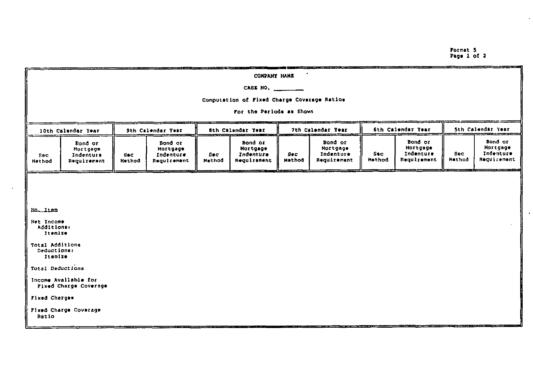$\cdot$ 

| COMPANY NAME                                  |                                                 |                   |                                                 |                          |                                                                                                                      |                      |                                                 |                       |                                                 |                      |                                                 |
|-----------------------------------------------|-------------------------------------------------|-------------------|-------------------------------------------------|--------------------------|----------------------------------------------------------------------------------------------------------------------|----------------------|-------------------------------------------------|-----------------------|-------------------------------------------------|----------------------|-------------------------------------------------|
| CASE NO.                                      |                                                 |                   |                                                 |                          |                                                                                                                      |                      |                                                 |                       |                                                 |                      |                                                 |
| Computation of Fixed Charge Coverage Ratios   |                                                 |                   |                                                 |                          |                                                                                                                      |                      |                                                 |                       |                                                 |                      |                                                 |
| For the Periods as Shown                      |                                                 |                   |                                                 |                          |                                                                                                                      |                      |                                                 |                       |                                                 |                      |                                                 |
| 10th Calendar Year                            |                                                 | 9th Calendar Ymar |                                                 | <b>Bth Calendar Year</b> |                                                                                                                      | 7th Calendar Year    |                                                 | 6th Calendar Year     |                                                 | 5th Calendar Year    |                                                 |
| Soc<br>Nethod                                 | Bond or<br>Hortgage<br>Indenture<br>Requirement | Sec.<br>Hethod    | Bond or<br>Mortgage<br>Indenture<br>Requirement | Bec<br>Nethod            | Bond or<br><b>Mortgage</b><br>Indenture<br>Requirement                                                               | <b>Bec</b><br>Mathod | Bond or<br>Hortgage<br>Indenture<br>Requirement | $S \cdot c$<br>Hethod | Bond or<br>Mortgage<br>Indenture<br>Requirement | <b>Eec</b><br>Hethod | Bond or<br>Mortgage<br>Indenture<br>Requirement |
|                                               |                                                 |                   |                                                 |                          |                                                                                                                      |                      |                                                 |                       |                                                 |                      |                                                 |
|                                               |                                                 |                   |                                                 |                          |                                                                                                                      |                      |                                                 |                       |                                                 |                      |                                                 |
| No. Item                                      |                                                 |                   |                                                 |                          |                                                                                                                      |                      |                                                 |                       |                                                 |                      |                                                 |
| Net Income<br>Additions:<br>Ttemize           |                                                 |                   |                                                 |                          |                                                                                                                      |                      |                                                 |                       |                                                 |                      |                                                 |
| Total Additions<br>Deductions:<br>Itemize     |                                                 |                   |                                                 |                          |                                                                                                                      |                      |                                                 |                       |                                                 |                      |                                                 |
| Total Deductions                              |                                                 |                   |                                                 |                          |                                                                                                                      |                      |                                                 |                       |                                                 |                      |                                                 |
| Income Available for<br>Fixed Charge Coverage |                                                 |                   |                                                 |                          |                                                                                                                      |                      |                                                 |                       |                                                 |                      |                                                 |
| Fixed Charges                                 |                                                 |                   |                                                 |                          |                                                                                                                      |                      |                                                 |                       |                                                 |                      |                                                 |
| Fixed Charge Coverage<br>Ratio                |                                                 |                   |                                                 |                          |                                                                                                                      |                      |                                                 |                       |                                                 |                      |                                                 |
|                                               |                                                 |                   |                                                 |                          | <u> Alexander de la component de la component de la component de la component de la component de la component de</u> |                      |                                                 |                       |                                                 |                      |                                                 |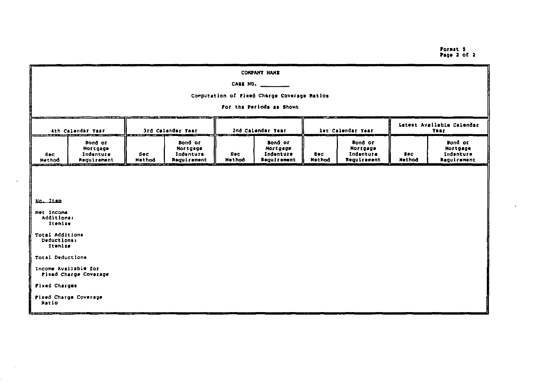## Format 5<br>Page 2 of 2

| COMPANY NAME                                                      |                                                 |                                                             |                                                 |                      |                                                 |                       |                                                 |                                    |                                                 |
|-------------------------------------------------------------------|-------------------------------------------------|-------------------------------------------------------------|-------------------------------------------------|----------------------|-------------------------------------------------|-----------------------|-------------------------------------------------|------------------------------------|-------------------------------------------------|
| CASE NO.                                                          |                                                 |                                                             |                                                 |                      |                                                 |                       |                                                 |                                    |                                                 |
| Computation of Fixed Charge Coverage Ratios                       |                                                 |                                                             |                                                 |                      |                                                 |                       |                                                 |                                    |                                                 |
| For the Periods as Shown                                          |                                                 |                                                             |                                                 |                      |                                                 |                       |                                                 |                                    |                                                 |
| 4th Calendar Year                                                 |                                                 | <u>sta anno mateixis communication</u><br>3rd Calendar Year |                                                 | 2nd Calendar Year    |                                                 | Int Calendar Year     |                                                 | Latest Available Calendar<br>Year. |                                                 |
| Sec.<br>Nethod                                                    | Bond or<br>Hortgage<br>Indenture<br>Requirement | <b>Sec</b><br><b>Hathod</b>                                 | Bond or<br>Mortgage<br>Indenture<br>Requirement | <b>Bec</b><br>Method | Bond or<br>Hortgage<br>Indenture<br>Requirement | Sec.<br><b>Method</b> | Bond or<br>Mortgage<br>Indenture<br>Requirement | Sec.<br>Method                     | sond or<br>Mortgage<br>Indenture<br>Regulrement |
| No. Itam<br>Additions:                                            | Net Income                                      |                                                             |                                                 |                      |                                                 |                       |                                                 |                                    |                                                 |
| Itenize<br>Total Additions<br>Deductions:<br>Itemize              |                                                 |                                                             |                                                 |                      |                                                 |                       |                                                 |                                    |                                                 |
| Total Deductions<br>Income Available for<br>Fixed Charge Coverage |                                                 |                                                             |                                                 |                      |                                                 |                       |                                                 |                                    |                                                 |
| Fixed Charges                                                     |                                                 |                                                             |                                                 |                      |                                                 |                       |                                                 |                                    |                                                 |
| Fixed Charge Coverage<br>Ratio                                    |                                                 |                                                             |                                                 |                      |                                                 |                       |                                                 |                                    |                                                 |

l.